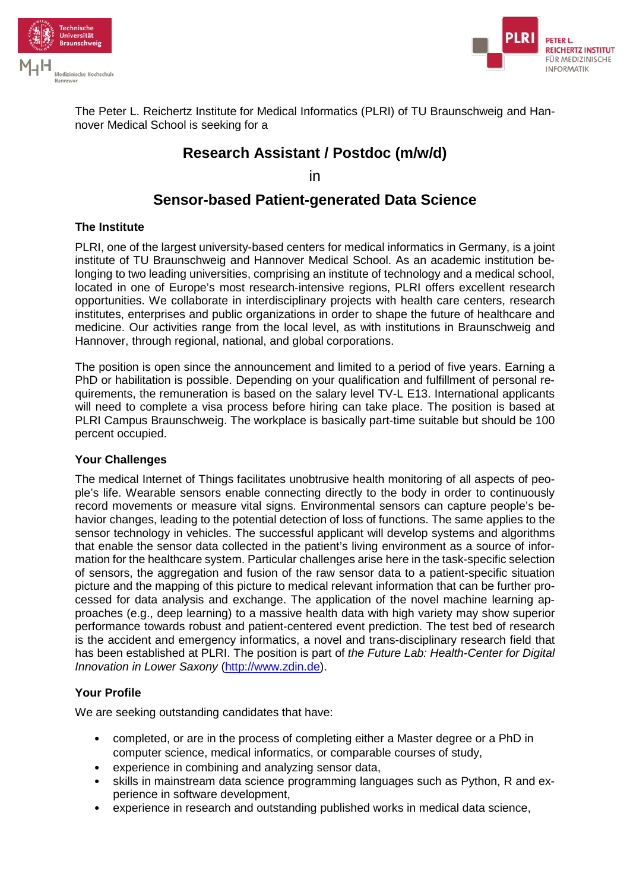



The Peter L. Reichertz Institute for Medical Informatics (PLRI) of TU Braunschweig and Hannover Medical School is seeking for a

# **Research Assistant / Postdoc (m/w/d)**

in

## **Sensor-based Patient-generated Data Science**

#### **The Institute**

PLRI, one of the largest university-based centers for medical informatics in Germany, is a joint institute of TU Braunschweig and Hannover Medical School. As an academic institution belonging to two leading universities, comprising an institute of technology and a medical school, located in one of Europe's most research-intensive regions, PLRI offers excellent research opportunities. We collaborate in interdisciplinary projects with health care centers, research institutes, enterprises and public organizations in order to shape the future of healthcare and medicine. Our activities range from the local level, as with institutions in Braunschweig and Hannover, through regional, national, and global corporations.

The position is open since the announcement and limited to a period of five years. Earning a PhD or habilitation is possible. Depending on your qualification and fulfillment of personal requirements, the remuneration is based on the salary level TV-L E13. International applicants will need to complete a visa process before hiring can take place. The position is based at PLRI Campus Braunschweig. The workplace is basically part-time suitable but should be 100 percent occupied.

#### **Your Challenges**

The medical Internet of Things facilitates unobtrusive health monitoring of all aspects of people's life. Wearable sensors enable connecting directly to the body in order to continuously record movements or measure vital signs. Environmental sensors can capture people's behavior changes, leading to the potential detection of loss of functions. The same applies to the sensor technology in vehicles. The successful applicant will develop systems and algorithms that enable the sensor data collected in the patient's living environment as a source of information for the healthcare system. Particular challenges arise here in the task-specific selection of sensors, the aggregation and fusion of the raw sensor data to a patient-specific situation picture and the mapping of this picture to medical relevant information that can be further processed for data analysis and exchange. The application of the novel machine learning approaches (e.g., deep learning) to a massive health data with high variety may show superior performance towards robust and patient-centered event prediction. The test bed of research is the accident and emergency informatics, a novel and trans-disciplinary research field that has been established at PLRI. The position is part of *the Future Lab: Health-Center for Digital Innovation in Lower Saxony* [\(http://www.zdin.de\)](http://www.zdin.de/).

### **Your Profile**

We are seeking outstanding candidates that have:

- completed, or are in the process of completing either a Master degree or a PhD in computer science, medical informatics, or comparable courses of study,
- experience in combining and analyzing sensor data,
- skills in mainstream data science programming languages such as Python, R and experience in software development,
- experience in research and outstanding published works in medical data science,